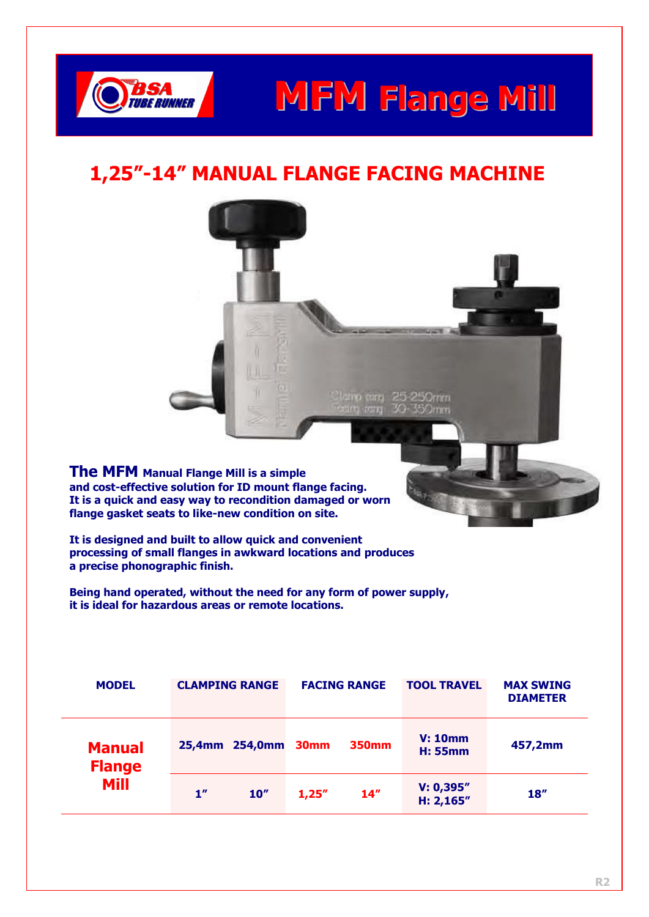

### **MFM Flange Mill**

### **1,25"-14" MANUAL FLANGE FACING MACHINE**

**The MFM Manual Flange Mill is a simple and cost-effective solution for ID mount flange facing. It is a quick and easy way to recondition damaged or worn flange gasket seats to like-new condition on site.** 

**It is designed and built to allow quick and convenient processing of small flanges in awkward locations and produces a precise phonographic finish.**

**Being hand operated, without the need for any form of power supply, it is ideal for hazardous areas or remote locations.**

| <b>MODEL</b>                   |                 | <b>CLAMPING RANGE</b> |                      | <b>FACING RANGE</b> | <b>TOOL TRAVEL</b>        | <b>MAX SWING</b><br><b>DIAMETER</b> |  |  |
|--------------------------------|-----------------|-----------------------|----------------------|---------------------|---------------------------|-------------------------------------|--|--|
| <b>Manual</b><br><b>Flange</b> | 25,4mm 254,0mm  |                       | <b>350mm</b><br>30mm |                     | V: 10mm<br><b>H: 55mm</b> | 457,2mm                             |  |  |
| <b>Mill</b>                    | 1 <sup>''</sup> | 10''                  | 1,25"                | 14 <sup>''</sup>    | V: 0,395"<br>H: 2,165''   | 18''                                |  |  |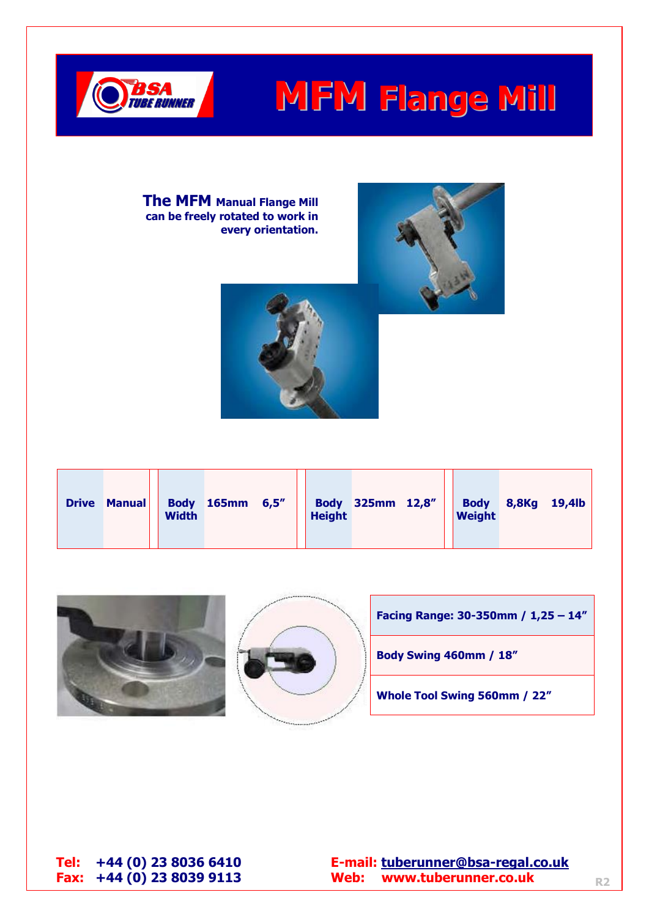

## **MFM Flange Mill**

**The MFM Manual Flange Mill can be freely rotated to work in every orientation.** 







**Tel: +44 (0) 23 8036 6410 E-mail: [tuberunner@bsa-regal.co.uk](mailto:tuberunner@bsa-regal.co.uk) Fax: +44 (0) 23 8039 9113 Web: www.tuberunner.co.uk**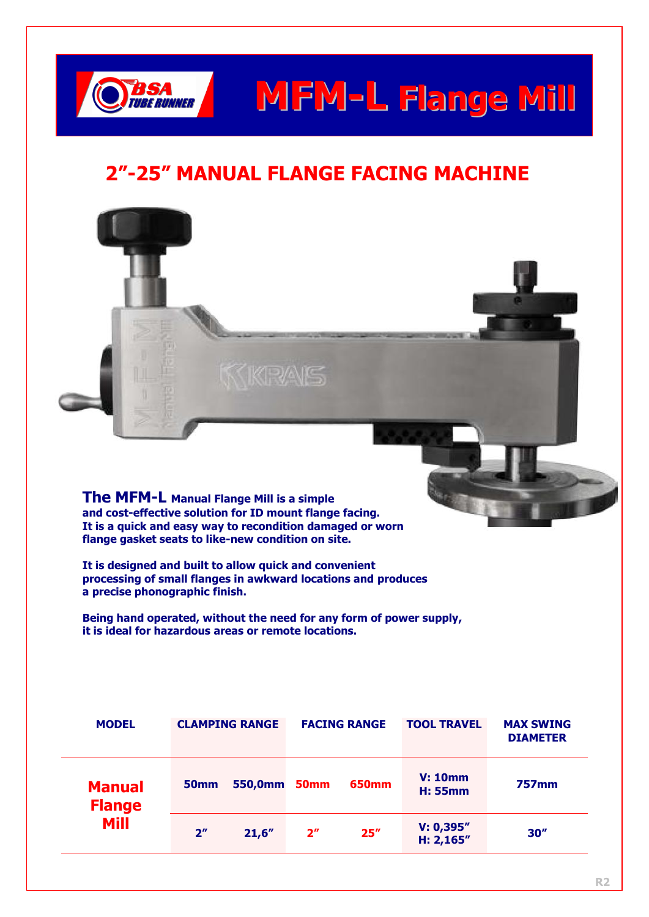

# **MFM-L Flange Mill**

### **2"-25" MANUAL FLANGE FACING MACHINE**



**The MFM-L Manual Flange Mill is a simple and cost-effective solution for ID mount flange facing. It is a quick and easy way to recondition damaged or worn flange gasket seats to like-new condition on site.** 

**It is designed and built to allow quick and convenient processing of small flanges in awkward locations and produces a precise phonographic finish.**

**Being hand operated, without the need for any form of power supply, it is ideal for hazardous areas or remote locations.**

| <b>MODEL</b>                   |                                            | <b>CLAMPING RANGE</b> |                | <b>FACING RANGE</b>       | <b>TOOL TRAVEL</b>      | <b>MAX SWING</b><br><b>DIAMETER</b> |  |
|--------------------------------|--------------------------------------------|-----------------------|----------------|---------------------------|-------------------------|-------------------------------------|--|
| <b>Manual</b><br><b>Flange</b> | 550,0mm<br>50 <sub>mm</sub><br><b>50mm</b> |                       | <b>650mm</b>   | V: 10mm<br><b>H: 55mm</b> | <b>757mm</b>            |                                     |  |
| <b>Mill</b>                    | 2 <sup>n</sup>                             | 21,6"                 | 2 <sup>n</sup> | 25''                      | V: 0,395"<br>H: 2,165'' | 30''                                |  |